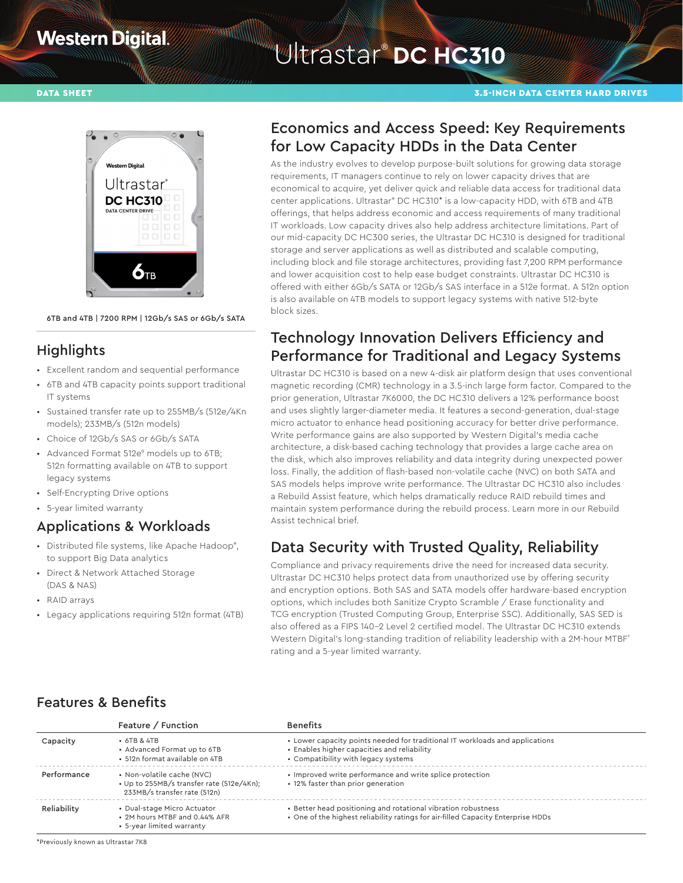## **Western Digital**

# Ultrastar® **DC HC310**

#### DATA SHEET 3.5-INCH DATA CENTER HARD DRIVES



6TB and 4TB | 7200 RPM | 12Gb/s SAS or 6Gb/s SATA

## **Highlights**

- Excellent random and sequential performance
- 6TB and 4TB capacity points support traditional IT systems
- Sustained transfer rate up to 255MB/s (512e/4Kn models); 233MB/s (512n models)
- Choice of 12Gb/s SAS or 6Gb/s SATA
- Advanced Format 512e<sup>9</sup> models up to 6TB; 512n formatting available on 4TB to support legacy systems
- Self-Encrypting Drive options
- 5-year limited warranty

#### Applications & Workloads

- Distributed file systems, like Apache Hadoop<sup>®</sup>, to support Big Data analytics
- Direct & Network Attached Storage (DAS & NAS)
- RAID arrays
- Legacy applications requiring 512n format (4TB)

#### Economics and Access Speed: Key Requirements for Low Capacity HDDs in the Data Center

As the industry evolves to develop purpose-built solutions for growing data storage requirements, IT managers continue to rely on lower capacity drives that are economical to acquire, yet deliver quick and reliable data access for traditional data center applications. Ultrastar® DC HC310\* is a low-capacity HDD, with 6TB and 4TB offerings, that helps address economic and access requirements of many traditional IT workloads. Low capacity drives also help address architecture limitations. Part of our mid-capacity DC HC300 series, the Ultrastar DC HC310 is designed for traditional storage and server applications as well as distributed and scalable computing, including block and file storage architectures, providing fast 7,200 RPM performance and lower acquisition cost to help ease budget constraints. Ultrastar DC HC310 is offered with either 6Gb/s SATA or 12Gb/s SAS interface in a 512e format. A 512n option is also available on 4TB models to support legacy systems with native 512-byte block sizes.

### Technology Innovation Delivers Efficiency and Performance for Traditional and Legacy Systems

Ultrastar DC HC310 is based on a new 4-disk air platform design that uses conventional magnetic recording (CMR) technology in a 3.5-inch large form factor. Compared to the prior generation, Ultrastar 7K6000, the DC HC310 delivers a 12% performance boost and uses slightly larger-diameter media. It features a second-generation, dual-stage micro actuator to enhance head positioning accuracy for better drive performance. Write performance gains are also supported by Western Digital's media cache architecture, a disk-based caching technology that provides a large cache area on the disk, which also improves reliability and data integrity during unexpected power loss. Finally, the addition of flash-based non-volatile cache (NVC) on both SATA and SAS models helps improve write performance. The Ultrastar DC HC310 also includes a Rebuild Assist feature, which helps dramatically reduce RAID rebuild times and maintain system performance during the rebuild process. Learn more in our Rebuild Assist technical brief.

## Data Security with Trusted Quality, Reliability

Compliance and privacy requirements drive the need for increased data security. Ultrastar DC HC310 helps protect data from unauthorized use by offering security and encryption options. Both SAS and SATA models offer hardware-based encryption options, which includes both Sanitize Crypto Scramble / Erase functionality and TCG encryption (Trusted Computing Group, Enterprise SSC). Additionally, SAS SED is also offered as a FIPS 140–2 Level 2 certified model. The Ultrastar DC HC310 extends Western Digital's long-standing tradition of reliability leadership with a 2M-hour MTBF<sup>2</sup> rating and a 5-year limited warranty.

#### Features & Benefits

|             | Feature / Function                                                                                      | <b>Benefits</b>                                                                                                                                                    |
|-------------|---------------------------------------------------------------------------------------------------------|--------------------------------------------------------------------------------------------------------------------------------------------------------------------|
| Capacity    | $\cdot$ 6TB & 4TB<br>• Advanced Format up to 6TB<br>• 512n format available on 4TB                      | • Lower capacity points needed for traditional IT workloads and applications<br>• Enables higher capacities and reliability<br>• Compatibility with legacy systems |
| Performance | • Non-volatile cache (NVC)<br>• Up to 255MB/s transfer rate (512e/4Kn);<br>233MB/s transfer rate (512n) | • Improved write performance and write splice protection<br>• 12% faster than prior generation                                                                     |
| Reliability | • Dual-stage Micro Actuator<br>• 2M hours MTBF and 0.44% AFR<br>• 5-year limited warranty               | • Better head positioning and rotational vibration robustness<br>. One of the highest reliability ratings for air-filled Capacity Enterprise HDDs                  |

\*Previously known as Ultrastar 7K8